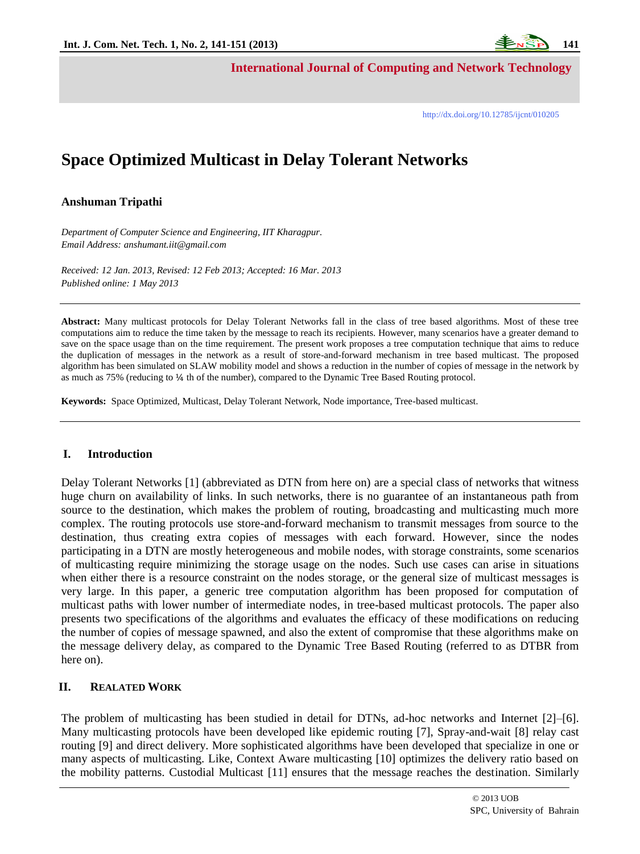**International Journal of Computing and Network Technology**

# **Space Optimized Multicast in Delay Tolerant Networks**

## **Anshuman Tripathi**

*Department of Computer Science and Engineering, IIT Kharagpur. Email Address: anshumant.iit@gmail.com*

*Received: 12 Jan. 2013, Revised: 12 Feb 2013; Accepted: 16 Mar. 2013 Published online: 1 May 2013*

**Abstract:** Many multicast protocols for Delay Tolerant Networks fall in the class of tree based algorithms. Most of these tree computations aim to reduce the time taken by the message to reach its recipients. However, many scenarios have a greater demand to save on the space usage than on the time requirement. The present work proposes a tree computation technique that aims to reduce the duplication of messages in the network as a result of store-and-forward mechanism in tree based multicast. The proposed algorithm has been simulated on SLAW mobility model and shows a reduction in the number of copies of message in the network by as much as 75% (reducing to ¼ th of the number), compared to the Dynamic Tree Based Routing protocol.

**Keywords:** Space Optimized, Multicast, Delay Tolerant Network, Node importance, Tree-based multicast.

#### **I. Introduction**

Delay Tolerant Networks [1] (abbreviated as DTN from here on) are a special class of networks that witness huge churn on availability of links. In such networks, there is no guarantee of an instantaneous path from source to the destination, which makes the problem of routing, broadcasting and multicasting much more complex. The routing protocols use store-and-forward mechanism to transmit messages from source to the destination, thus creating extra copies of messages with each forward. However, since the nodes participating in a DTN are mostly heterogeneous and mobile nodes, with storage constraints, some scenarios of multicasting require minimizing the storage usage on the nodes. Such use cases can arise in situations when either there is a resource constraint on the nodes storage, or the general size of multicast messages is very large. In this paper, a generic tree computation algorithm has been proposed for computation of multicast paths with lower number of intermediate nodes, in tree-based multicast protocols. The paper also presents two specifications of the algorithms and evaluates the efficacy of these modifications on reducing the number of copies of message spawned, and also the extent of compromise that these algorithms make on the message delivery delay, as compared to the Dynamic Tree Based Routing (referred to as DTBR from here on).

## **II. REALATED WORK**

 $\overline{a}$ 

The problem of multicasting has been studied in detail for DTNs, ad-hoc networks and Internet [2]–[6]. Many multicasting protocols have been developed like epidemic routing [7], Spray-and-wait [8] relay cast routing [9] and direct delivery. More sophisticated algorithms have been developed that specialize in one or many aspects of multicasting. Like, Context Aware multicasting [10] optimizes the delivery ratio based on the mobility patterns. Custodial Multicast [11] ensures that the message reaches the destination. Similarly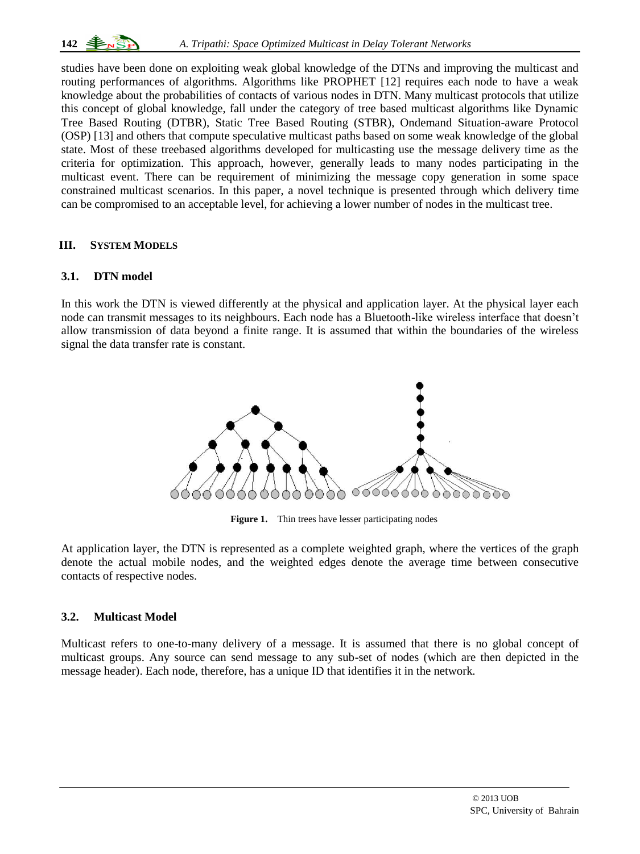studies have been done on exploiting weak global knowledge of the DTNs and improving the multicast and routing performances of algorithms. Algorithms like PROPHET [12] requires each node to have a weak knowledge about the probabilities of contacts of various nodes in DTN. Many multicast protocols that utilize this concept of global knowledge, fall under the category of tree based multicast algorithms like Dynamic Tree Based Routing (DTBR), Static Tree Based Routing (STBR), Ondemand Situation-aware Protocol (OSP) [13] and others that compute speculative multicast paths based on some weak knowledge of the global state. Most of these treebased algorithms developed for multicasting use the message delivery time as the criteria for optimization. This approach, however, generally leads to many nodes participating in the multicast event. There can be requirement of minimizing the message copy generation in some space constrained multicast scenarios. In this paper, a novel technique is presented through which delivery time can be compromised to an acceptable level, for achieving a lower number of nodes in the multicast tree.

# **III. SYSTEM MODELS**

# **3.1. DTN model**

In this work the DTN is viewed differently at the physical and application layer. At the physical layer each node can transmit messages to its neighbours. Each node has a Bluetooth-like wireless interface that doesn't allow transmission of data beyond a finite range. It is assumed that within the boundaries of the wireless signal the data transfer rate is constant.



Figure 1. Thin trees have lesser participating nodes

At application layer, the DTN is represented as a complete weighted graph, where the vertices of the graph denote the actual mobile nodes, and the weighted edges denote the average time between consecutive contacts of respective nodes.

# **3.2. Multicast Model**

 $\overline{a}$ 

Multicast refers to one-to-many delivery of a message. It is assumed that there is no global concept of multicast groups. Any source can send message to any sub-set of nodes (which are then depicted in the message header). Each node, therefore, has a unique ID that identifies it in the network.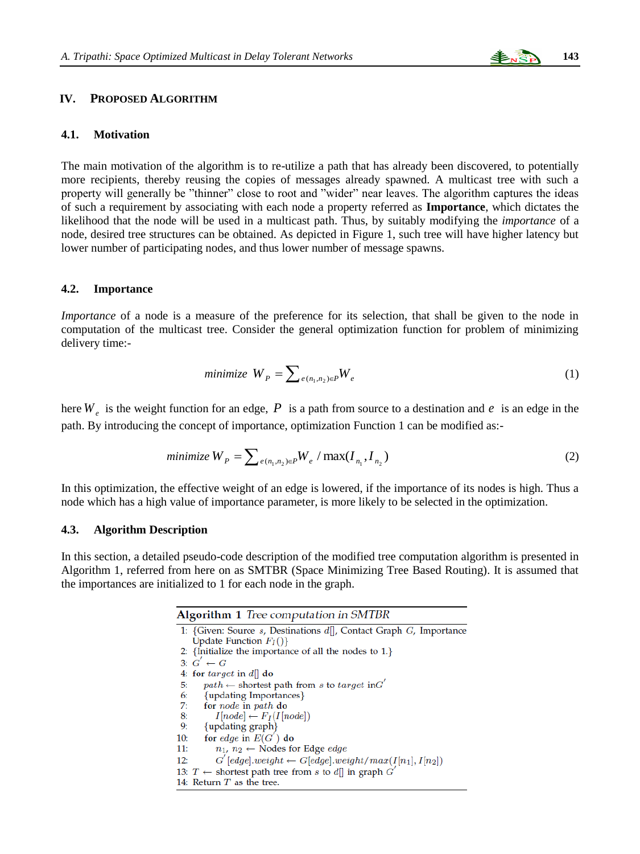

## **IV. PROPOSED ALGORITHM**

#### **4.1. Motivation**

The main motivation of the algorithm is to re-utilize a path that has already been discovered, to potentially more recipients, thereby reusing the copies of messages already spawned. A multicast tree with such a property will generally be "thinner" close to root and "wider" near leaves. The algorithm captures the ideas of such a requirement by associating with each node a property referred as **Importance**, which dictates the likelihood that the node will be used in a multicast path. Thus, by suitably modifying the *importance* of a node, desired tree structures can be obtained. As depicted in Figure 1, such tree will have higher latency but lower number of participating nodes, and thus lower number of message spawns.

#### **4.2. Importance**

*Importance* of a node is a measure of the preference for its selection, that shall be given to the node in computation of the multicast tree. Consider the general optimization function for problem of minimizing delivery time:-

$$
minimize W_P = \sum_{e(n_1, n_2) \in P} W_e
$$
\n(1)

here  $W_e$  is the weight function for an edge, P is a path from source to a destination and  $e$  is an edge in the path. By introducing the concept of importance, optimization Function 1 can be modified as:-

minimize 
$$
W_p = \sum_{e(n_1, n_2) \in P} W_e / \max(I_{n_1}, I_{n_2})
$$
 (2)

In this optimization, the effective weight of an edge is lowered, if the importance of its nodes is high. Thus a node which has a high value of importance parameter, is more likely to be selected in the optimization.

#### **4.3. Algorithm Description**

In this section, a detailed pseudo-code description of the modified tree computation algorithm is presented in Algorithm 1, referred from here on as SMTBR (Space Minimizing Tree Based Routing). It is assumed that the importances are initialized to 1 for each node in the graph.

| <b>Algorithm 1</b> Tree computation in SMTBR                           |
|------------------------------------------------------------------------|
| 1: {Given: Source s, Destinations $d$ ], Contact Graph G, Importance   |
| Update Function $F_I()$ }                                              |
| 2: {Initialize the importance of all the nodes to $1$ .}               |
| 3: $G' \leftarrow G$                                                   |
| 4: for <i>target</i> in $d  $ do                                       |
| $path \leftarrow$ shortest path from s to target in G'<br>5:           |
| {updating Importances}<br>6:                                           |
| 7:<br>for <i>node</i> in <i>path</i> do                                |
| 8:<br>$I[node] \leftarrow F_I(I[node])$                                |
| {updating graph}<br>9:                                                 |
| for edge in $E(G')$ do<br>10:                                          |
| $n_1, n_2 \leftarrow$ Nodes for Edge <i>edge</i><br>11:                |
| $G'[edge].weight \leftarrow G[edge].weight/max(I[n_1], I[n_2])$<br>12: |
| 13: $T \leftarrow$ shortest path tree from s to d   in graph G         |
| 14: Return $T$ as the tree.                                            |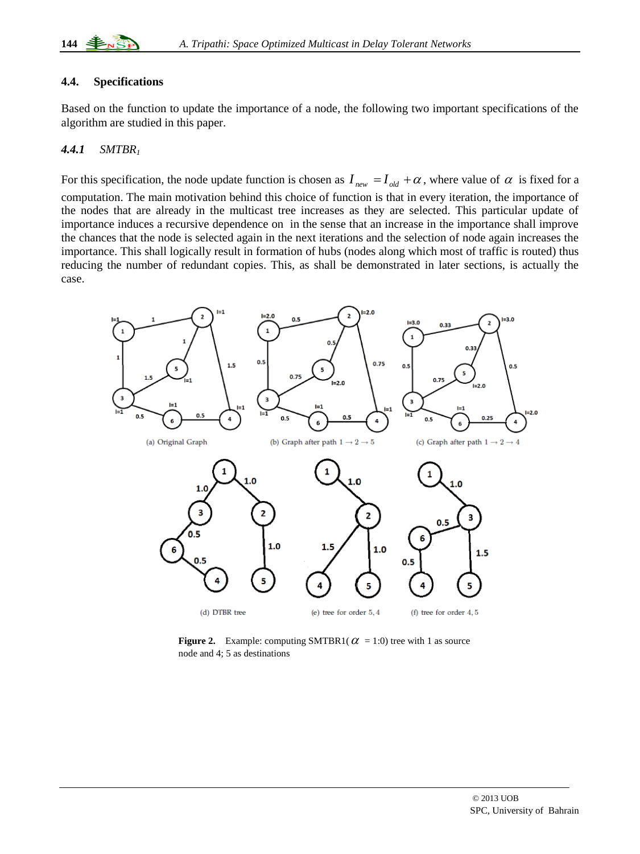# **4.4. Specifications**

Based on the function to update the importance of a node, the following two important specifications of the algorithm are studied in this paper.

# *4.4.1 SMTBR<sup>1</sup>*

 $\overline{a}$ 

For this specification, the node update function is chosen as  $I_{new} = I_{old} + \alpha$ , where value of  $\alpha$  is fixed for a computation. The main motivation behind this choice of function is that in every iteration, the importance of the nodes that are already in the multicast tree increases as they are selected. This particular update of importance induces a recursive dependence on in the sense that an increase in the importance shall improve the chances that the node is selected again in the next iterations and the selection of node again increases the importance. This shall logically result in formation of hubs (nodes along which most of traffic is routed) thus reducing the number of redundant copies. This, as shall be demonstrated in later sections, is actually the case.



**Figure 2.** Example: computing SMTBR1( $\alpha$  = 1:0) tree with 1 as source node and 4; 5 as destinations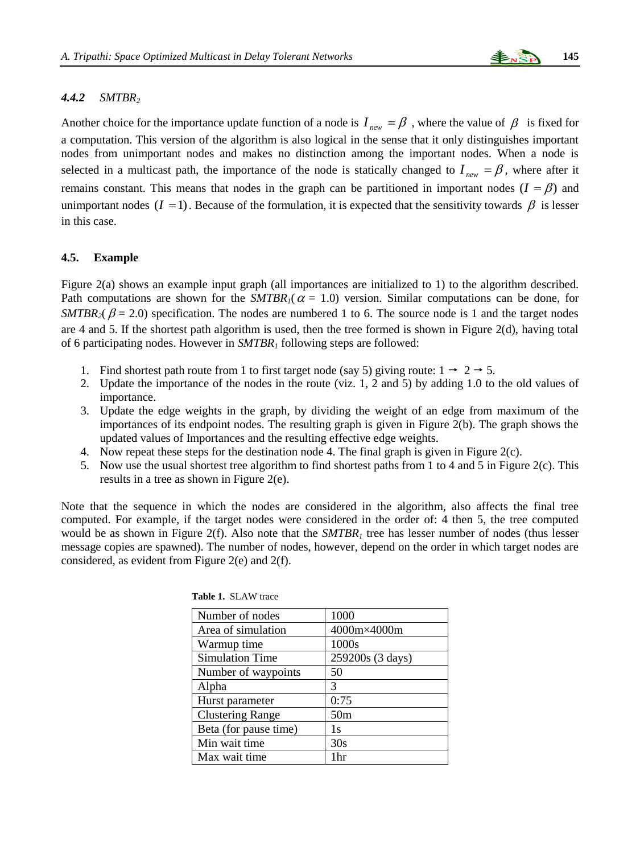## *4.4.2 SMTBR<sup>2</sup>*

Another choice for the importance update function of a node is  $I_{new} = \beta$ , where the value of  $\beta$  is fixed for a computation. This version of the algorithm is also logical in the sense that it only distinguishes important nodes from unimportant nodes and makes no distinction among the important nodes. When a node is selected in a multicast path, the importance of the node is statically changed to  $I_{new} = \beta$ , where after it remains constant. This means that nodes in the graph can be partitioned in important nodes  $(I = \beta)$  and unimportant nodes  $(I = 1)$ . Because of the formulation, it is expected that the sensitivity towards  $\beta$  is lesser in this case.

#### **4.5. Example**

Figure 2(a) shows an example input graph (all importances are initialized to 1) to the algorithm described. Path computations are shown for the  $SMTBR<sub>1</sub>(\alpha = 1.0)$  version. Similar computations can be done, for *SMTBR*<sub>2</sub>( $\beta$  = 2.0) specification. The nodes are numbered 1 to 6. The source node is 1 and the target nodes are 4 and 5. If the shortest path algorithm is used, then the tree formed is shown in Figure 2(d), having total of 6 participating nodes. However in *SMTBR<sup>1</sup>* following steps are followed:

- 1. Find shortest path route from 1 to first target node (say 5) giving route:  $1 \rightarrow 2 \rightarrow 5$ .
- 2. Update the importance of the nodes in the route (viz. 1, 2 and 5) by adding 1.0 to the old values of importance.
- 3. Update the edge weights in the graph, by dividing the weight of an edge from maximum of the importances of its endpoint nodes. The resulting graph is given in Figure 2(b). The graph shows the updated values of Importances and the resulting effective edge weights.
- 4. Now repeat these steps for the destination node 4. The final graph is given in Figure 2(c).
- 5. Now use the usual shortest tree algorithm to find shortest paths from 1 to 4 and 5 in Figure 2(c). This results in a tree as shown in Figure 2(e).

Note that the sequence in which the nodes are considered in the algorithm, also affects the final tree computed. For example, if the target nodes were considered in the order of: 4 then 5, the tree computed would be as shown in Figure 2(f). Also note that the *SMTBR<sup>1</sup>* tree has lesser number of nodes (thus lesser message copies are spawned). The number of nodes, however, depend on the order in which target nodes are considered, as evident from Figure 2(e) and 2(f).

| Number of nodes         | 1000             |
|-------------------------|------------------|
| Area of simulation      | 4000m×4000m      |
| Warmup time             | 1000s            |
| <b>Simulation Time</b>  | 259200s (3 days) |
| Number of waypoints     | 50               |
| Alpha                   | 3                |
| Hurst parameter         | 0:75             |
| <b>Clustering Range</b> | 50 <sub>m</sub>  |
| Beta (for pause time)   | 1s               |
| Min wait time           | 30s              |
| Max wait time           | 1hr              |

| <b>Table 1. SLAW trace</b> |  |  |
|----------------------------|--|--|
|----------------------------|--|--|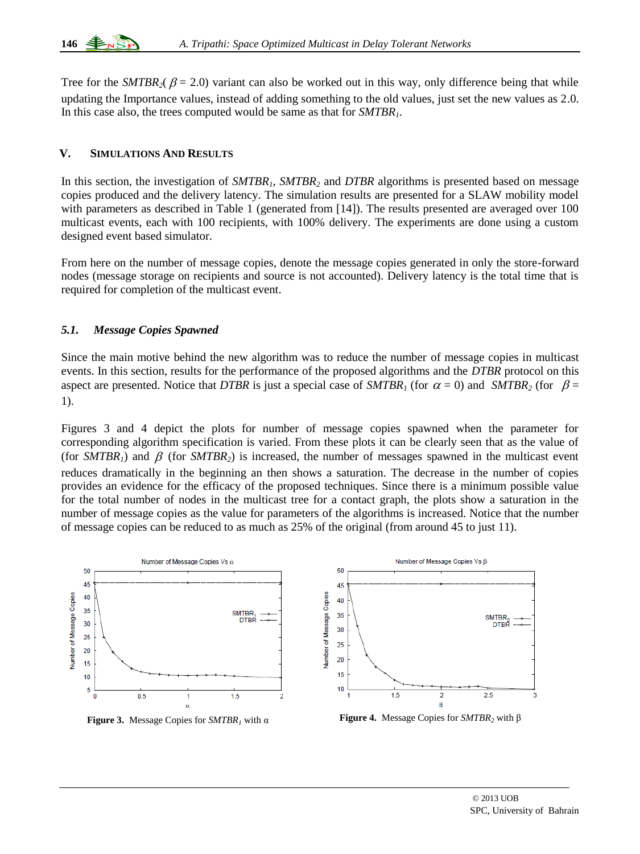Tree for the *SMTBR*<sub>2</sub>( $\beta$  = 2.0) variant can also be worked out in this way, only difference being that while updating the Importance values, instead of adding something to the old values, just set the new values as 2.0. In this case also, the trees computed would be same as that for *SMTBR1*.

# **V. SIMULATIONS AND RESULTS**

In this section, the investigation of *SMTBR<sub>1</sub>*, *SMTBR<sub>2</sub>* and *DTBR* algorithms is presented based on message copies produced and the delivery latency. The simulation results are presented for a SLAW mobility model with parameters as described in Table 1 (generated from [14]). The results presented are averaged over 100 multicast events, each with 100 recipients, with 100% delivery. The experiments are done using a custom designed event based simulator.

From here on the number of message copies, denote the message copies generated in only the store-forward nodes (message storage on recipients and source is not accounted). Delivery latency is the total time that is required for completion of the multicast event.

# *5.1. Message Copies Spawned*

 $\overline{a}$ 

Since the main motive behind the new algorithm was to reduce the number of message copies in multicast events. In this section, results for the performance of the proposed algorithms and the *DTBR* protocol on this aspect are presented. Notice that *DTBR* is just a special case of  $SMTBR<sub>1</sub>$  (for  $\alpha = 0$ ) and  $SMTBR<sub>2</sub>$  (for  $\beta =$ 1).

Figures 3 and 4 depict the plots for number of message copies spawned when the parameter for corresponding algorithm specification is varied. From these plots it can be clearly seen that as the value of (for  $SMTBR<sub>1</sub>$ ) and  $\beta$  (for  $SMTBR<sub>2</sub>$ ) is increased, the number of messages spawned in the multicast event reduces dramatically in the beginning an then shows a saturation. The decrease in the number of copies provides an evidence for the efficacy of the proposed techniques. Since there is a minimum possible value for the total number of nodes in the multicast tree for a contact graph, the plots show a saturation in the number of message copies as the value for parameters of the algorithms is increased. Notice that the number of message copies can be reduced to as much as 25% of the original (from around 45 to just 11).

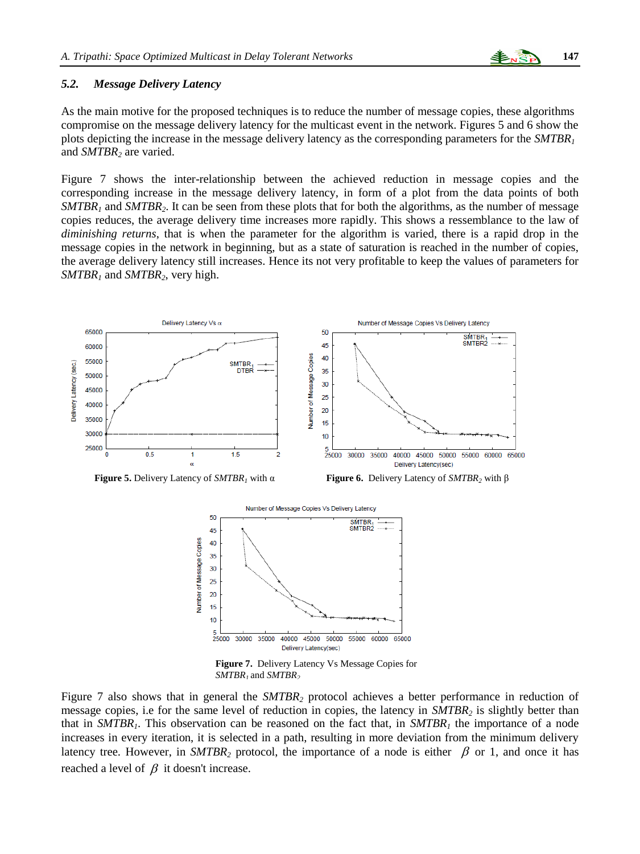## *5.2. Message Delivery Latency*

As the main motive for the proposed techniques is to reduce the number of message copies, these algorithms compromise on the message delivery latency for the multicast event in the network. Figures 5 and 6 show the plots depicting the increase in the message delivery latency as the corresponding parameters for the *SMTBR<sup>1</sup>* and *SMTBR<sup>2</sup>* are varied.

Figure 7 shows the inter-relationship between the achieved reduction in message copies and the corresponding increase in the message delivery latency, in form of a plot from the data points of both *SMTBR<sup>1</sup>* and *SMTBR2*. It can be seen from these plots that for both the algorithms, as the number of message copies reduces, the average delivery time increases more rapidly. This shows a ressemblance to the law of *diminishing returns*, that is when the parameter for the algorithm is varied, there is a rapid drop in the message copies in the network in beginning, but as a state of saturation is reached in the number of copies, the average delivery latency still increases. Hence its not very profitable to keep the values of parameters for *SMTBR<sup>1</sup>* and *SMTBR2*, very high.





**Figure 5.** Delivery Latency of *SMTBR<sup>1</sup>* with α **Figure 6.** Delivery Latency of *SMTBR<sup>2</sup>* with β



**Figure 7.** Delivery Latency Vs Message Copies for *SMTBR<sup>1</sup>* and *SMTBR<sup>2</sup>*

Figure 7 also shows that in general the *SMTBR<sup>2</sup>* protocol achieves a better performance in reduction of message copies, i.e for the same level of reduction in copies, the latency in *SMTBR<sup>2</sup>* is slightly better than that in *SMTBR1*. This observation can be reasoned on the fact that, in *SMTBR<sup>1</sup>* the importance of a node increases in every iteration, it is selected in a path, resulting in more deviation from the minimum delivery latency tree. However, in *SMTBR*<sub>2</sub> protocol, the importance of a node is either  $\beta$  or 1, and once it has reached a level of  $\beta$  it doesn't increase.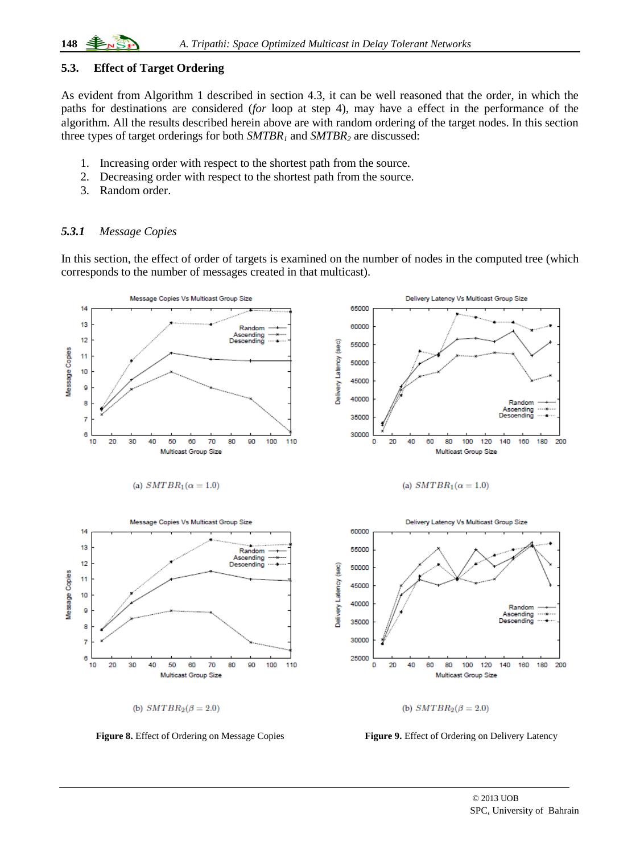## **5.3. Effect of Target Ordering**

As evident from Algorithm 1 described in section 4.3, it can be well reasoned that the order, in which the paths for destinations are considered (*for* loop at step 4), may have a effect in the performance of the algorithm. All the results described herein above are with random ordering of the target nodes. In this section three types of target orderings for both *SMTBR<sup>1</sup>* and *SMTBR<sup>2</sup>* are discussed:

- 1. Increasing order with respect to the shortest path from the source.
- 2. Decreasing order with respect to the shortest path from the source.
- 3. Random order.

## *5.3.1 Message Copies*

In this section, the effect of order of targets is examined on the number of nodes in the computed tree (which corresponds to the number of messages created in that multicast).



 $\overline{a}$ 

**Figure 8.** Effect of Ordering on Message Copies **Figure 9.** Effect of Ordering on Delivery Latency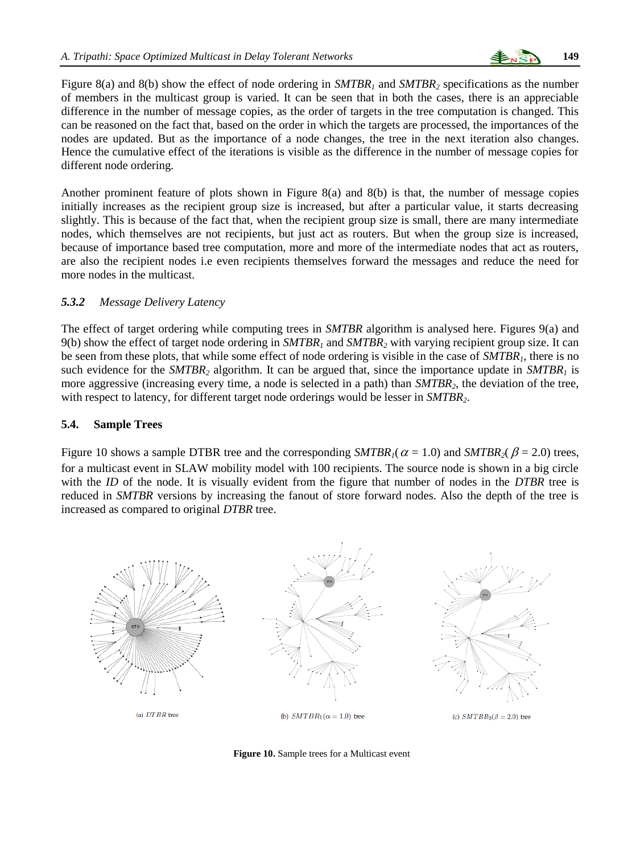

Figure 8(a) and 8(b) show the effect of node ordering in *SMTBR<sup>1</sup>* and *SMTBR<sup>2</sup>* specifications as the number of members in the multicast group is varied. It can be seen that in both the cases, there is an appreciable difference in the number of message copies, as the order of targets in the tree computation is changed. This can be reasoned on the fact that, based on the order in which the targets are processed, the importances of the nodes are updated. But as the importance of a node changes, the tree in the next iteration also changes. Hence the cumulative effect of the iterations is visible as the difference in the number of message copies for different node ordering.

Another prominent feature of plots shown in Figure 8(a) and 8(b) is that, the number of message copies initially increases as the recipient group size is increased, but after a particular value, it starts decreasing slightly. This is because of the fact that, when the recipient group size is small, there are many intermediate nodes, which themselves are not recipients, but just act as routers. But when the group size is increased, because of importance based tree computation, more and more of the intermediate nodes that act as routers, are also the recipient nodes i.e even recipients themselves forward the messages and reduce the need for more nodes in the multicast.

## *5.3.2 Message Delivery Latency*

The effect of target ordering while computing trees in *SMTBR* algorithm is analysed here. Figures 9(a) and 9(b) show the effect of target node ordering in *SMTBR<sup>1</sup>* and *SMTBR<sup>2</sup>* with varying recipient group size. It can be seen from these plots, that while some effect of node ordering is visible in the case of *SMTBR1*, there is no such evidence for the *SMTBR*<sub>2</sub> algorithm. It can be argued that, since the importance update in  $SMTBR<sub>1</sub>$  is more aggressive (increasing every time, a node is selected in a path) than *SMTBR2*, the deviation of the tree, with respect to latency, for different target node orderings would be lesser in *SMTBR2*.

#### **5.4. Sample Trees**

Figure 10 shows a sample DTBR tree and the corresponding  $SMTBR<sub>1</sub>(\alpha = 1.0)$  and  $SMTBR<sub>2</sub>(\beta = 2.0)$  trees, for a multicast event in SLAW mobility model with 100 recipients. The source node is shown in a big circle with the *ID* of the node. It is visually evident from the figure that number of nodes in the *DTBR* tree is reduced in *SMTBR* versions by increasing the fanout of store forward nodes. Also the depth of the tree is increased as compared to original *DTBR* tree.



**Figure 10.** Sample trees for a Multicast event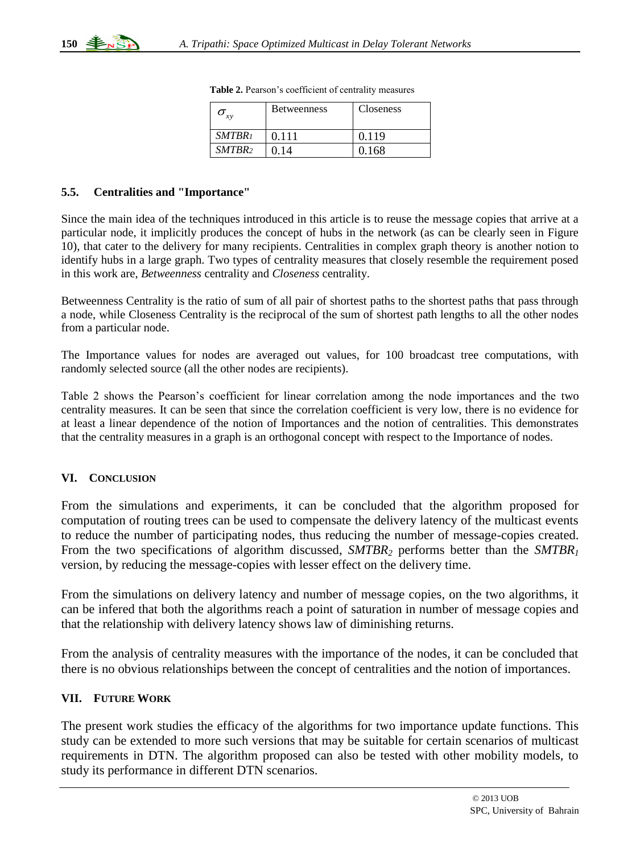| xν                 | <b>Betweenness</b> | <b>Closeness</b> |
|--------------------|--------------------|------------------|
| SMTBR <sub>1</sub> | 0.111              | 0.119            |
| SMTBR <sub>2</sub> | በ 14               | 0.168            |

**Table 2.** Pearson's coefficient of centrality measures

#### **5.5. Centralities and "Importance"**

Since the main idea of the techniques introduced in this article is to reuse the message copies that arrive at a particular node, it implicitly produces the concept of hubs in the network (as can be clearly seen in Figure 10), that cater to the delivery for many recipients. Centralities in complex graph theory is another notion to identify hubs in a large graph. Two types of centrality measures that closely resemble the requirement posed in this work are, *Betweenness* centrality and *Closeness* centrality.

Betweenness Centrality is the ratio of sum of all pair of shortest paths to the shortest paths that pass through a node, while Closeness Centrality is the reciprocal of the sum of shortest path lengths to all the other nodes from a particular node.

The Importance values for nodes are averaged out values, for 100 broadcast tree computations, with randomly selected source (all the other nodes are recipients).

Table 2 shows the Pearson's coefficient for linear correlation among the node importances and the two centrality measures. It can be seen that since the correlation coefficient is very low, there is no evidence for at least a linear dependence of the notion of Importances and the notion of centralities. This demonstrates that the centrality measures in a graph is an orthogonal concept with respect to the Importance of nodes.

# **VI. CONCLUSION**

*G<sub>3</sub>*<br>
SHOMERE CONSULTEERT CONSULTEERT CONSULTEERT CONSULTEERT CONSULTEERT CONSULTEERT CONSULTEERT CONSULTEERT CONSULTEERT THE THAT CONSULTEERT CONSULTEERT CONSULTEERT CONSULTEERT CONSULTEERT CONSULTEERT CONSULTEERT CONSU From the simulations and experiments, it can be concluded that the algorithm proposed for computation of routing trees can be used to compensate the delivery latency of the multicast events to reduce the number of participating nodes, thus reducing the number of message-copies created. From the two specifications of algorithm discussed, *SMTBR<sup>2</sup>* performs better than the *SMTBR<sup>1</sup>* version, by reducing the message-copies with lesser effect on the delivery time.

From the simulations on delivery latency and number of message copies, on the two algorithms, it can be infered that both the algorithms reach a point of saturation in number of message copies and that the relationship with delivery latency shows law of diminishing returns.

From the analysis of centrality measures with the importance of the nodes, it can be concluded that there is no obvious relationships between the concept of centralities and the notion of importances.

# **VII. FUTURE WORK**

 $\overline{a}$ 

The present work studies the efficacy of the algorithms for two importance update functions. This study can be extended to more such versions that may be suitable for certain scenarios of multicast requirements in DTN. The algorithm proposed can also be tested with other mobility models, to study its performance in different DTN scenarios.